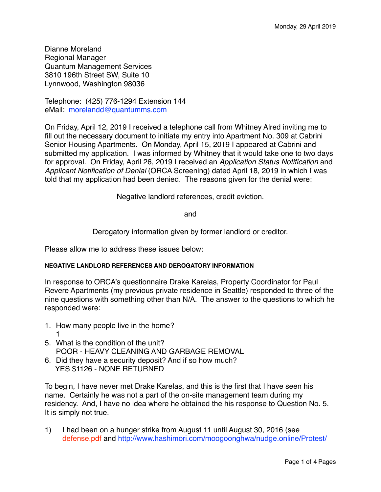Dianne Moreland Regional Manager Quantum Management Services 3810 196th Street SW, Suite 10 Lynnwood, Washington 98036

Telephone: (425) 776-1294 Extension 144 eMail: [morelandd@quantumms.com](mailto:morelandd@quantumms.com)

On Friday, April 12, 2019 I received a telephone call from Whitney Alred inviting me to fill out the necessary document to initiate my entry into Apartment No. 309 at Cabrini Senior Housing Apartments. On Monday, April 15, 2019 I appeared at Cabrini and submitted my application. I was informed by Whitney that it would take one to two days for approval. On Friday, April 26, 2019 I received an *Application Status Notification* and *Applicant Notification of Denial* (ORCA Screening) dated April 18, 2019 in which I was told that my application had been denied. The reasons given for the denial were:

Negative landlord references, credit eviction.

and

Derogatory information given by former landlord or creditor.

Please allow me to address these issues below:

#### **NEGATIVE LANDLORD REFERENCES AND DEROGATORY INFORMATION**

In response to ORCA's questionnaire Drake Karelas, Property Coordinator for Paul Revere Apartments (my previous private residence in Seattle) responded to three of the nine questions with something other than N/A. The answer to the questions to which he responded were:

- 1. How many people live in the home? 1
- 5. What is the condition of the unit? POOR - HEAVY CLEANING AND GARBAGE REMOVAL
- 6. Did they have a security deposit? And if so how much? YES \$1126 - NONE RETURNED

To begin, I have never met Drake Karelas, and this is the first that I have seen his name. Certainly he was not a part of the on-site management team during my residency. And, I have no idea where he obtained the his response to Question No. 5. It is simply not true.

1) I had been on a hunger strike from August 11 until August 30, 2016 (see defense.pdf and [http://www.hashimori.com/moogoonghwa/nudge.online/Protest/](http://www.hashimori.com/moogoonghwa/nudge.online/Protest/index.html)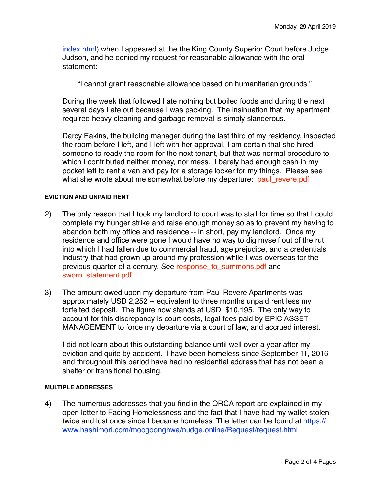[index.html](http://www.hashimori.com/moogoonghwa/nudge.online/Protest/index.html)) when I appeared at the the King County Superior Court before Judge Judson, and he denied my request for reasonable allowance with the oral statement:

"I cannot grant reasonable allowance based on humanitarian grounds."

During the week that followed I ate nothing but boiled foods and during the next several days I ate out because I was packing. The insinuation that my apartment required heavy cleaning and garbage removal is simply slanderous.

Darcy Eakins, the building manager during the last third of my residency, inspected the room before I left, and I left with her approval. I am certain that she hired someone to ready the room for the next tenant, but that was normal procedure to which I contributed neither money, nor mess. I barely had enough cash in my pocket left to rent a van and pay for a storage locker for my things. Please see what she wrote about me somewhat before my departure: paul\_revere.pdf

#### **EVICTION AND UNPAID RENT**

- 2) The only reason that I took my landlord to court was to stall for time so that I could complete my hunger strike and raise enough money so as to prevent my having to abandon both my office and residence -- in short, pay my landlord. Once my residence and office were gone I would have no way to dig myself out of the rut into which I had fallen due to commercial fraud, age prejudice, and a credentials industry that had grown up around my profession while I was overseas for the previous quarter of a century. See response\_to\_summons.pdf and sworn\_statement.pdf
- 3) The amount owed upon my departure from Paul Revere Apartments was approximately USD 2,252 -- equivalent to three months unpaid rent less my forfeited deposit. The figure now stands at USD \$10,195. The only way to account for this discrepancy is court costs, legal fees paid by EPIC ASSET MANAGEMENT to force my departure via a court of law, and accrued interest.

I did not learn about this outstanding balance until well over a year after my eviction and quite by accident. I have been homeless since September 11, 2016 and throughout this period have had no residential address that has not been a shelter or transitional housing.

#### **MULTIPLE ADDRESSES**

4) The numerous addresses that you find in the ORCA report are explained in my open letter to Facing Homelessness and the fact that I have had my wallet stolen twice and lost once since I became homeless. The letter can be found at [https://](https://www.hashimori.com/moogoonghwa/nudge.online/Request/request.html) [www.hashimori.com/moogoonghwa/nudge.online/Request/request.html](https://www.hashimori.com/moogoonghwa/nudge.online/Request/request.html)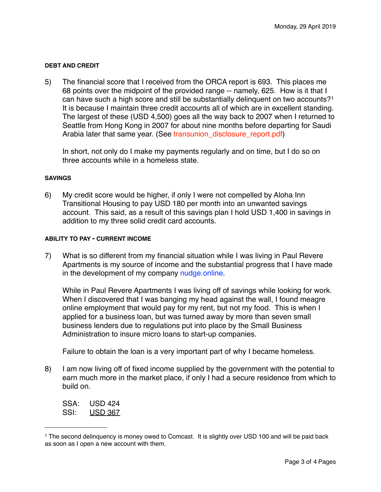### **DEBT AND CREDIT**

5) The financial score that I received from the ORCA report is 693. This places me 68 points over the midpoint of the provided range -- namely, 625. How is it that I can have such a high score and still be substantially delinquent on two accounts?[1](#page-2-0) It is because I maintain three credit accounts all of which are in excellent standing. The largest of these (USD 4,500) goes all the way back to 2007 when I returned to Seattle from Hong Kong in 2007 for about nine months before departing for Saudi Arabia later that same year. (See transunion disclosure report.pdf)

In short, not only do I make my payments regularly and on time, but I do so on three accounts while in a homeless state.

#### **SAVINGS**

6) My credit score would be higher, if only I were not compelled by Aloha Inn Transitional Housing to pay USD 180 per month into an unwanted savings account. This said, as a result of this savings plan I hold USD 1,400 in savings in addition to my three solid credit card accounts.

## **ABILITY TO PAY - CURRENT INCOME**

7) What is so different from my financial situation while I was living in Paul Revere Apartments is my source of income and the substantial progress that I have made in the development of my company [nudge.online.](https://www.nudge.online)

While in Paul Revere Apartments I was living off of savings while looking for work. When I discovered that I was banging my head against the wall, I found meagre online employment that would pay for my rent, but not my food. This is when I applied for a business loan, but was turned away by more than seven small business lenders due to regulations put into place by the Small Business Administration to insure micro loans to start-up companies.

Failure to obtain the loan is a very important part of why I became homeless.

8) I am now living off of fixed income supplied by the government with the potential to earn much more in the market place, if only I had a secure residence from which to build on.

SSA: USD 424 SSI: USD 367

<span id="page-2-0"></span><sup>1</sup> The second delinquency is money owed to Comcast. It is slightly over USD 100 and will be paid back as soon as I open a new account with them.